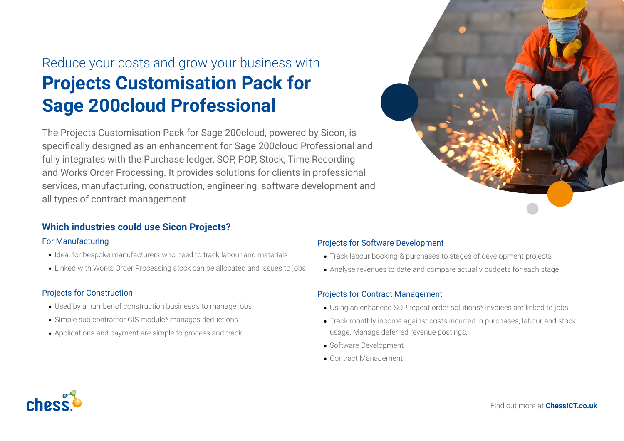# Reduce your costs and grow your business with **Projects Customisation Pack for Sage 200cloud Professional**

The Projects Customisation Pack for Sage 200cloud, powered by Sicon, is specifically designed as an enhancement for Sage 200cloud Professional and fully integrates with the Purchase ledger, SOP, POP, Stock, Time Recording and Works Order Processing. It provides solutions for clients in professional services, manufacturing, construction, engineering, software development and all types of contract management.

## **Which industries could use Sicon Projects?**

#### For Manufacturing

- Ideal for bespoke manufacturers who need to track labour and materials
- Linked with Works Order Processing stock can be allocated and issues to jobs

#### Projects for Construction

- Used by a number of construction business's to manage jobs
- Simple sub contractor CIS module\* manages deductions
- Applications and payment are simple to process and track

#### Projects for Software Development

- Track labour booking & purchases to stages of development projects
- Analyse revenues to date and compare actual v budgets for each stage

#### Projects for Contract Management

- Using an enhanced SOP repeat order solutions\* invoices are linked to jobs
- Track monthly income against costs incurred in purchases, labour and stock usage. Manage deferred revenue postings.
- Software Development
- Contract Management